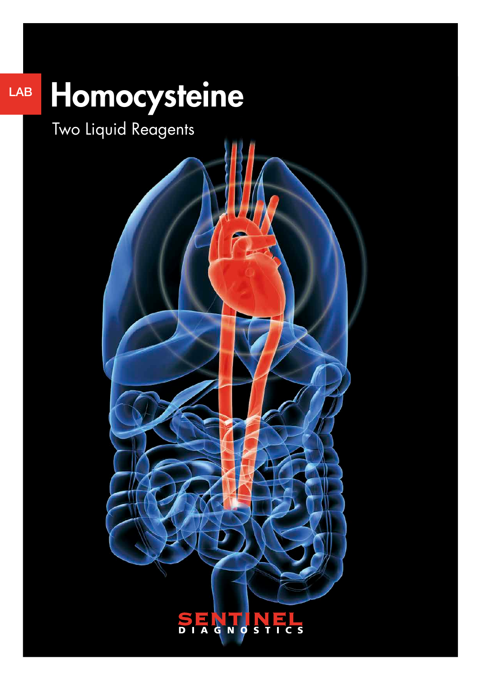## Homocysteine LAB

Two Liquid Reagents

#### **SENTIN** F  $\overline{\mathbf{s}}$  $\overline{\mathsf{C}}$